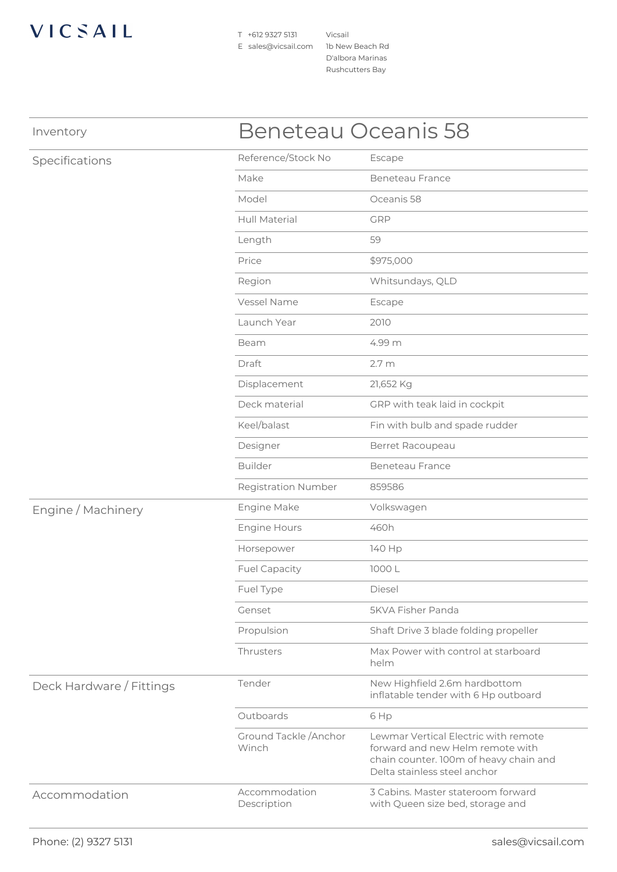## VICSAIL

T +612 9327 5131 E sales@vicsail.com 1b New Beach Rd

Vicsail D'albora Marinas Rushcutters Bay

| Inventory                | <b>Beneteau Oceanis 58</b>      |                                                                                                                                                    |
|--------------------------|---------------------------------|----------------------------------------------------------------------------------------------------------------------------------------------------|
| Specifications           | Reference/Stock No              | Escape                                                                                                                                             |
|                          | Make                            | <b>Beneteau France</b>                                                                                                                             |
|                          | Model                           | Oceanis 58                                                                                                                                         |
|                          | Hull Material                   | GRP                                                                                                                                                |
|                          | Length                          | 59                                                                                                                                                 |
|                          | Price                           | \$975,000                                                                                                                                          |
|                          | Region                          | Whitsundays, QLD                                                                                                                                   |
|                          | Vessel Name                     | Escape                                                                                                                                             |
|                          | Launch Year                     | 2010                                                                                                                                               |
|                          | Beam                            | 4.99 m                                                                                                                                             |
|                          | Draft                           | 2.7 <sub>m</sub>                                                                                                                                   |
|                          | Displacement                    | 21,652 Kg                                                                                                                                          |
|                          | Deck material                   | GRP with teak laid in cockpit                                                                                                                      |
|                          | Keel/balast                     | Fin with bulb and spade rudder                                                                                                                     |
|                          | Designer                        | Berret Racoupeau                                                                                                                                   |
|                          | <b>Builder</b>                  | <b>Beneteau France</b>                                                                                                                             |
|                          | <b>Registration Number</b>      | 859586                                                                                                                                             |
| Engine / Machinery       | Engine Make                     | Volkswagen                                                                                                                                         |
|                          | <b>Engine Hours</b>             | 460h                                                                                                                                               |
|                          | Horsepower                      | 140 Hp                                                                                                                                             |
|                          | <b>Fuel Capacity</b>            | 1000 L                                                                                                                                             |
|                          | Fuel Type                       | <b>Diesel</b>                                                                                                                                      |
|                          | Genset                          | <b>5KVA Fisher Panda</b>                                                                                                                           |
|                          | Propulsion                      | Shaft Drive 3 blade folding propeller                                                                                                              |
|                          | Thrusters                       | Max Power with control at starboard<br>helm                                                                                                        |
| Deck Hardware / Fittings | Tender                          | New Highfield 2.6m hardbottom<br>inflatable tender with 6 Hp outboard                                                                              |
|                          | Outboards                       | 6 Hp                                                                                                                                               |
|                          | Ground Tackle / Anchor<br>Winch | Lewmar Vertical Electric with remote<br>forward and new Helm remote with<br>chain counter. 100m of heavy chain and<br>Delta stainless steel anchor |
| Accommodation            | Accommodation<br>Description    | 3 Cabins. Master stateroom forward<br>with Queen size bed, storage and                                                                             |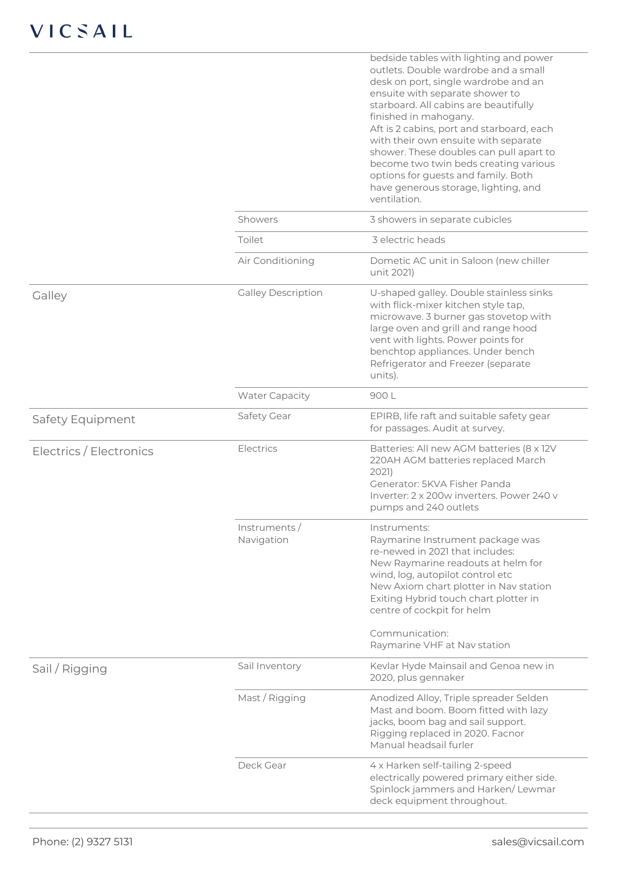|                         |                            | bedside tables with lighting and power<br>outlets. Double wardrobe and a small<br>desk on port, single wardrobe and an<br>ensuite with separate shower to<br>starboard. All cabins are beautifully<br>finished in mahogany.<br>Aft is 2 cabins, port and starboard, each<br>with their own ensuite with separate<br>shower. These doubles can pull apart to<br>become two twin beds creating various<br>options for guests and family. Both<br>have generous storage, lighting, and<br>ventilation. |
|-------------------------|----------------------------|-----------------------------------------------------------------------------------------------------------------------------------------------------------------------------------------------------------------------------------------------------------------------------------------------------------------------------------------------------------------------------------------------------------------------------------------------------------------------------------------------------|
|                         | Showers                    | 3 showers in separate cubicles                                                                                                                                                                                                                                                                                                                                                                                                                                                                      |
|                         | Toilet                     | 3 electric heads                                                                                                                                                                                                                                                                                                                                                                                                                                                                                    |
|                         | Air Conditioning           | Dometic AC unit in Saloon (new chiller<br>unit 2021)                                                                                                                                                                                                                                                                                                                                                                                                                                                |
| Galley                  | <b>Galley Description</b>  | U-shaped galley. Double stainless sinks<br>with flick-mixer kitchen style tap,<br>microwave. 3 burner gas stovetop with<br>large oven and grill and range hood<br>vent with lights. Power points for<br>benchtop appliances. Under bench<br>Refrigerator and Freezer (separate<br>units).                                                                                                                                                                                                           |
|                         | <b>Water Capacity</b>      | 900L                                                                                                                                                                                                                                                                                                                                                                                                                                                                                                |
| Safety Equipment        | Safety Gear                | EPIRB, life raft and suitable safety gear<br>for passages. Audit at survey.                                                                                                                                                                                                                                                                                                                                                                                                                         |
| Electrics / Electronics | Electrics                  | Batteries: All new AGM batteries (8 x 12V<br>220AH AGM batteries replaced March<br>2021)<br>Generator: 5KVA Fisher Panda<br>Inverter: 2 x 200w inverters. Power 240 y<br>pumps and 240 outlets                                                                                                                                                                                                                                                                                                      |
|                         | Instruments/<br>Navigation | Instruments:<br>Raymarine Instrument package was<br>re-newed in 2021 that includes:<br>New Raymarine readouts at helm for<br>wind, log, autopilot control etc<br>New Axiom chart plotter in Nav station<br>Exiting Hybrid touch chart plotter in<br>centre of cockpit for helm<br>Communication:<br>Raymarine VHF at Nav station                                                                                                                                                                    |
| Sail / Rigging          | Sail Inventory             | Kevlar Hyde Mainsail and Genoa new in<br>2020, plus gennaker                                                                                                                                                                                                                                                                                                                                                                                                                                        |
|                         | Mast / Rigging             | Anodized Alloy, Triple spreader Selden<br>Mast and boom. Boom fitted with lazy<br>jacks, boom bag and sail support.<br>Rigging replaced in 2020. Facnor<br>Manual headsail furler                                                                                                                                                                                                                                                                                                                   |
|                         | Deck Gear                  | 4 x Harken self-tailing 2-speed<br>electrically powered primary either side.<br>Spinlock jammers and Harken/Lewmar<br>deck equipment throughout.                                                                                                                                                                                                                                                                                                                                                    |